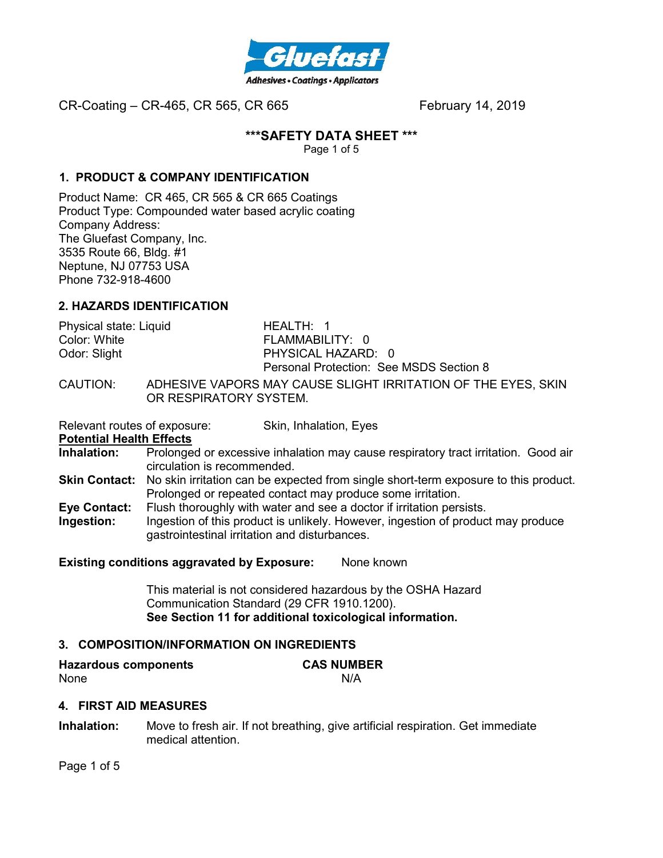

#### **\*\*\*SAFETY DATA SHEET \*\*\***

Page 1 of 5

#### **1. PRODUCT & COMPANY IDENTIFICATION**

Product Name: CR 465, CR 565 & CR 665 Coatings Product Type: Compounded water based acrylic coating Company Address: The Gluefast Company, Inc. 3535 Route 66, Bldg. #1 Neptune, NJ 07753 USA Phone 732-918-4600

#### **2. HAZARDS IDENTIFICATION**

| Physical state: Liquid | HEALTH: 1                                             |
|------------------------|-------------------------------------------------------|
| Color: White           | FLAMMABILITY: 0                                       |
| Odor: Slight           | PHYSICAL HAZARD: 0                                    |
|                        | Personal Protection: See MSDS Section 8               |
| CALITIONI·             | ANHESIVE VARORS MAY CALISE SLICHT IDDITATION OF THE F |

 $\lambda$ AUTION: ADHESIVE VAPORS MAY CAUSE SLIGHT IRRITATION OF THE EYES, SKIN OR RESPIRATORY SYSTEM.

Relevant routes of exposure: Skin, Inhalation, Eyes

#### **Potential Health Effects**

- **Inhalation:** Prolonged or excessive inhalation may cause respiratory tract irritation. Good air circulation is recommended.
- **Skin Contact:** No skin irritation can be expected from single short-term exposure to this product. Prolonged or repeated contact may produce some irritation.
- **Eye Contact:** Flush thoroughly with water and see a doctor if irritation persists.
- **Ingestion:** Ingestion of this product is unlikely. However, ingestion of product may produce gastrointestinal irritation and disturbances.

#### **Existing conditions aggravated by Exposure:** None known

This material is not considered hazardous by the OSHA Hazard Communication Standard (29 CFR 1910.1200). **See Section 11 for additional toxicological information.** 

# **3. COMPOSITION/INFORMATION ON INGREDIENTS**

| <b>Hazardous components</b> | <b>CAS NUMBER</b> |
|-----------------------------|-------------------|
| None                        | N/A               |

#### **4. FIRST AID MEASURES**

**Inhalation:** Move to fresh air. If not breathing, give artificial respiration. Get immediate medical attention.

Page 1 of 5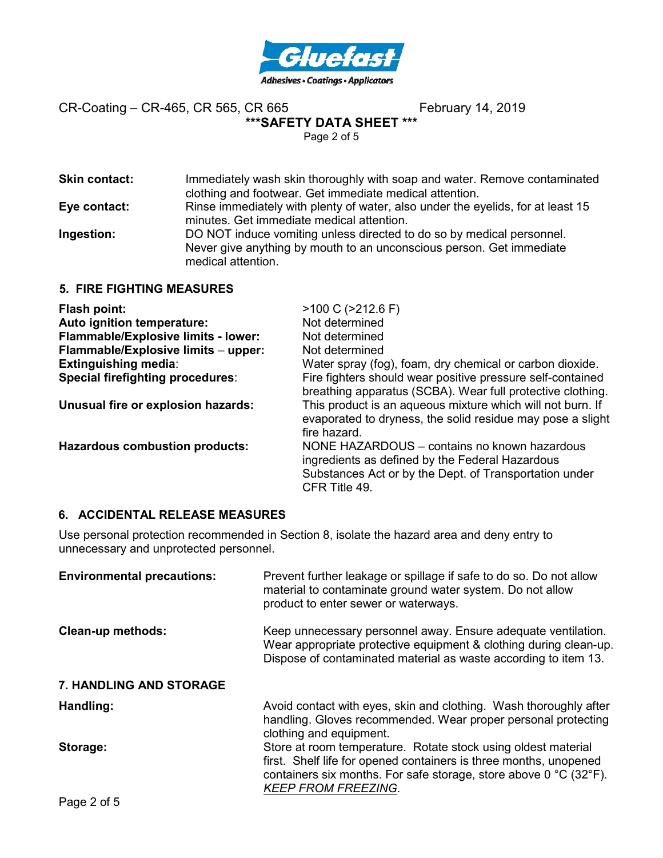

# **\*\*\*SAFETY DATA SHEET \*\*\***

Page 2 of 5

| <b>Skin contact:</b>            | Immediately wash skin thoroughly with soap and water. Remove contaminated<br>clothing and footwear. Get immediate medical attention.                                |
|---------------------------------|---------------------------------------------------------------------------------------------------------------------------------------------------------------------|
| Eye contact:                    | Rinse immediately with plenty of water, also under the eyelids, for at least 15<br>minutes. Get immediate medical attention.                                        |
| Ingestion:                      | DO NOT induce vomiting unless directed to do so by medical personnel.<br>Never give anything by mouth to an unconscious person. Get immediate<br>medical attention. |
| <b>E FIDE FICUTING MEASHDES</b> |                                                                                                                                                                     |

**5. FIRE FIGHTING MEASURES** 

| Flash point:                               | $>100$ C ( $>212.6$ F)                                                                                                                                                     |
|--------------------------------------------|----------------------------------------------------------------------------------------------------------------------------------------------------------------------------|
| Auto ignition temperature:                 | Not determined                                                                                                                                                             |
| <b>Flammable/Explosive limits - lower:</b> | Not determined                                                                                                                                                             |
| Flammable/Explosive limits - upper:        | Not determined                                                                                                                                                             |
| <b>Extinguishing media:</b>                | Water spray (fog), foam, dry chemical or carbon dioxide.                                                                                                                   |
| <b>Special firefighting procedures:</b>    | Fire fighters should wear positive pressure self-contained<br>breathing apparatus (SCBA). Wear full protective clothing.                                                   |
| Unusual fire or explosion hazards:         | This product is an aqueous mixture which will not burn. If<br>evaporated to dryness, the solid residue may pose a slight<br>fire hazard.                                   |
| <b>Hazardous combustion products:</b>      | NONE HAZARDOUS – contains no known hazardous<br>ingredients as defined by the Federal Hazardous<br>Substances Act or by the Dept. of Transportation under<br>CFR Title 49. |

# **6. ACCIDENTAL RELEASE MEASURES**

Use personal protection recommended in Section 8, isolate the hazard area and deny entry to unnecessary and unprotected personnel.

| <b>Environmental precautions:</b> | Prevent further leakage or spillage if safe to do so. Do not allow<br>material to contaminate ground water system. Do not allow<br>product to enter sewer or waterways.                                                                                  |
|-----------------------------------|----------------------------------------------------------------------------------------------------------------------------------------------------------------------------------------------------------------------------------------------------------|
| <b>Clean-up methods:</b>          | Keep unnecessary personnel away. Ensure adequate ventilation.<br>Wear appropriate protective equipment & clothing during clean-up.<br>Dispose of contaminated material as waste according to item 13.                                                    |
| <b>7. HANDLING AND STORAGE</b>    |                                                                                                                                                                                                                                                          |
| Handling:                         | Avoid contact with eyes, skin and clothing. Wash thoroughly after<br>handling. Gloves recommended. Wear proper personal protecting<br>clothing and equipment.                                                                                            |
| Storage:                          | Store at room temperature. Rotate stock using oldest material<br>first. Shelf life for opened containers is three months, unopened<br>containers six months. For safe storage, store above $0^{\circ}C$ (32 $^{\circ}F$ ).<br><b>KEEP FROM FREEZING.</b> |
| n <i>.</i> r                      |                                                                                                                                                                                                                                                          |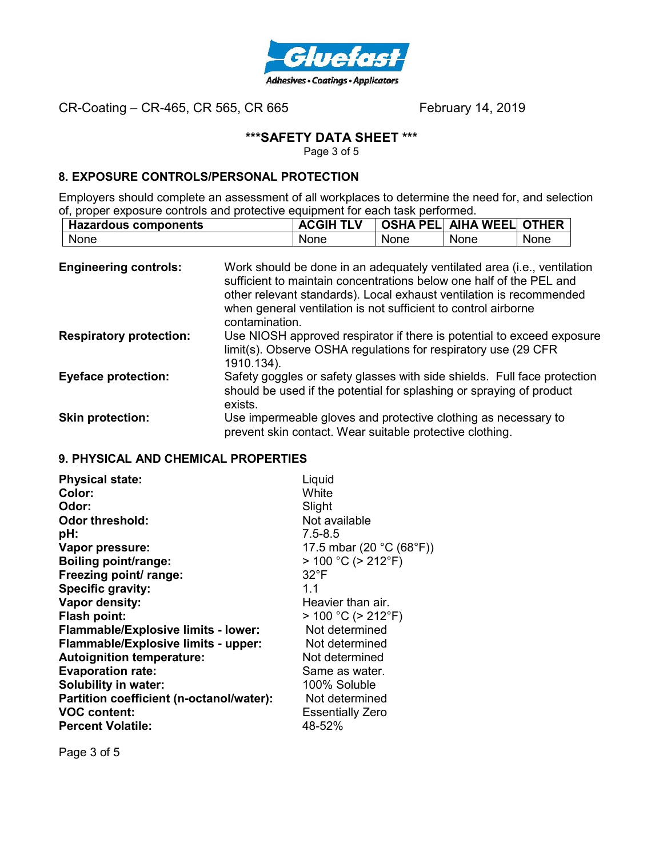

# **\*\*\*SAFETY DATA SHEET \*\*\***

Page 3 of 5

# **8. EXPOSURE CONTROLS/PERSONAL PROTECTION**

Employers should complete an assessment of all workplaces to determine the need for, and selection of, proper exposure controls and protective equipment for each task performed.

| <b>Hazardous components</b> | <b>ACGIH TLV</b> |      | OSHA PEL  AIHA WEEL  OTHER |      |
|-----------------------------|------------------|------|----------------------------|------|
| None                        | None             | None | None                       | None |

| <b>Engineering controls:</b>   | Work should be done in an adequately ventilated area (i.e., ventilation<br>sufficient to maintain concentrations below one half of the PEL and<br>other relevant standards). Local exhaust ventilation is recommended<br>when general ventilation is not sufficient to control airborne<br>contamination. |
|--------------------------------|-----------------------------------------------------------------------------------------------------------------------------------------------------------------------------------------------------------------------------------------------------------------------------------------------------------|
| <b>Respiratory protection:</b> | Use NIOSH approved respirator if there is potential to exceed exposure<br>limit(s). Observe OSHA regulations for respiratory use (29 CFR)<br>1910.134).                                                                                                                                                   |
| <b>Eyeface protection:</b>     | Safety goggles or safety glasses with side shields. Full face protection<br>should be used if the potential for splashing or spraying of product<br>exists.                                                                                                                                               |
| <b>Skin protection:</b>        | Use impermeable gloves and protective clothing as necessary to<br>prevent skin contact. Wear suitable protective clothing.                                                                                                                                                                                |

# **9. PHYSICAL AND CHEMICAL PROPERTIES**

| Liquid<br>White<br>Slight<br>Not available<br>$7.5 - 8.5$<br>17.5 mbar (20 °C (68°F))<br>$> 100 °C$ ( $> 212 °F$ )<br>$32^{\circ}F$<br>11<br>Heavier than air.<br>$> 100 °C$ ( $> 212 °F$ )<br>Not determined<br>Not determined<br>Not determined<br>Same as water.<br>100% Soluble<br>Not determined |
|-------------------------------------------------------------------------------------------------------------------------------------------------------------------------------------------------------------------------------------------------------------------------------------------------------|
| <b>Essentially Zero</b><br>48-52%                                                                                                                                                                                                                                                                     |
|                                                                                                                                                                                                                                                                                                       |

Page 3 of 5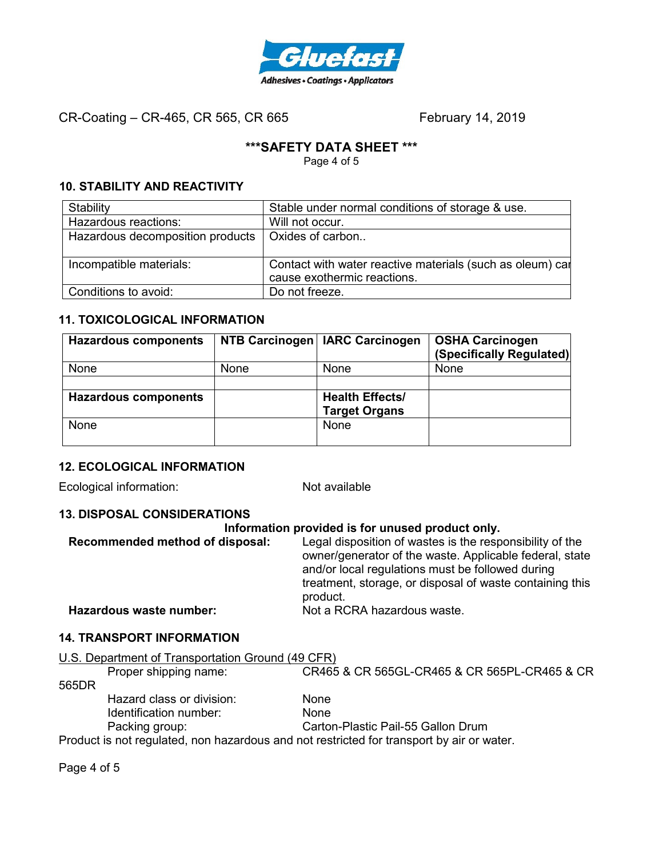

# **\*\*\*SAFETY DATA SHEET \*\*\***

Page 4 of 5

# **10. STABILITY AND REACTIVITY**

| Stability                        | Stable under normal conditions of storage & use.          |
|----------------------------------|-----------------------------------------------------------|
| Hazardous reactions:             | Will not occur.                                           |
| Hazardous decomposition products | Oxides of carbon                                          |
|                                  |                                                           |
| Incompatible materials:          | Contact with water reactive materials (such as oleum) car |
|                                  | cause exothermic reactions.                               |
| Conditions to avoid:             | Do not freeze.                                            |

# **11. TOXICOLOGICAL INFORMATION**

| <b>Hazardous components</b> |      | NTB Carcinogen   IARC Carcinogen | <b>OSHA Carcinogen</b><br>(Specifically Regulated) |
|-----------------------------|------|----------------------------------|----------------------------------------------------|
| None                        | None | <b>None</b>                      | None                                               |
|                             |      |                                  |                                                    |
| <b>Hazardous components</b> |      | <b>Health Effects/</b>           |                                                    |
|                             |      | <b>Target Organs</b>             |                                                    |
| None                        |      | <b>None</b>                      |                                                    |
|                             |      |                                  |                                                    |

# **12. ECOLOGICAL INFORMATION**

Ecological information: Not available

# **13. DISPOSAL CONSIDERATIONS**

#### **Information provided is for unused product only.**

| Recommended method of disposal: | Legal disposition of wastes is the responsibility of the<br>owner/generator of the waste. Applicable federal, state<br>and/or local regulations must be followed during<br>treatment, storage, or disposal of waste containing this<br>product. |
|---------------------------------|-------------------------------------------------------------------------------------------------------------------------------------------------------------------------------------------------------------------------------------------------|
| Hazardous waste number:         | Not a RCRA hazardous waste.                                                                                                                                                                                                                     |

# **14. TRANSPORT INFORMATION**

|       | U.S. Department of Transportation Ground (49 CFR) |                                                                                          |
|-------|---------------------------------------------------|------------------------------------------------------------------------------------------|
|       | Proper shipping name:                             | CR465 & CR 565GL-CR465 & CR 565PL-CR465 & CR                                             |
| 565DR |                                                   |                                                                                          |
|       | Hazard class or division:                         | None                                                                                     |
|       | Identification number:                            | <b>None</b>                                                                              |
|       | Packing group:                                    | Carton-Plastic Pail-55 Gallon Drum                                                       |
|       |                                                   | Product is not requisited non hazardous and not restricted for transport by air or water |

Product is not regulated, non hazardous and not restricted for transport by air or water.

Page 4 of 5